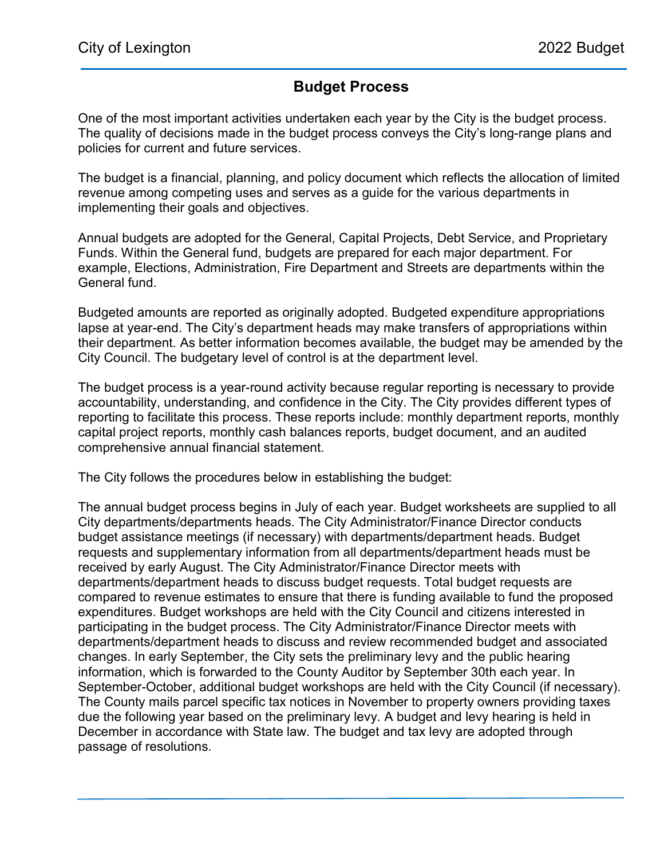## Budget Process

One of the most important activities undertaken each year by the City is the budget process. The quality of decisions made in the budget process conveys the City's long-range plans and policies for current and future services.

The budget is a financial, planning, and policy document which reflects the allocation of limited revenue among competing uses and serves as a guide for the various departments in implementing their goals and objectives.

Annual budgets are adopted for the General, Capital Projects, Debt Service, and Proprietary Funds. Within the General fund, budgets are prepared for each major department. For example, Elections, Administration, Fire Department and Streets are departments within the General fund.

Budgeted amounts are reported as originally adopted. Budgeted expenditure appropriations lapse at year-end. The City's department heads may make transfers of appropriations within their department. As better information becomes available, the budget may be amended by the City Council. The budgetary level of control is at the department level.

The budget process is a year-round activity because regular reporting is necessary to provide accountability, understanding, and confidence in the City. The City provides different types of reporting to facilitate this process. These reports include: monthly department reports, monthly capital project reports, monthly cash balances reports, budget document, and an audited comprehensive annual financial statement.

The City follows the procedures below in establishing the budget:

The annual budget process begins in July of each year. Budget worksheets are supplied to all City departments/departments heads. The City Administrator/Finance Director conducts budget assistance meetings (if necessary) with departments/department heads. Budget requests and supplementary information from all departments/department heads must be received by early August. The City Administrator/Finance Director meets with departments/department heads to discuss budget requests. Total budget requests are compared to revenue estimates to ensure that there is funding available to fund the proposed expenditures. Budget workshops are held with the City Council and citizens interested in participating in the budget process. The City Administrator/Finance Director meets with departments/department heads to discuss and review recommended budget and associated changes. In early September, the City sets the preliminary levy and the public hearing information, which is forwarded to the County Auditor by September 30th each year. In September-October, additional budget workshops are held with the City Council (if necessary). The County mails parcel specific tax notices in November to property owners providing taxes due the following year based on the preliminary levy. A budget and levy hearing is held in December in accordance with State law. The budget and tax levy are adopted through passage of resolutions.